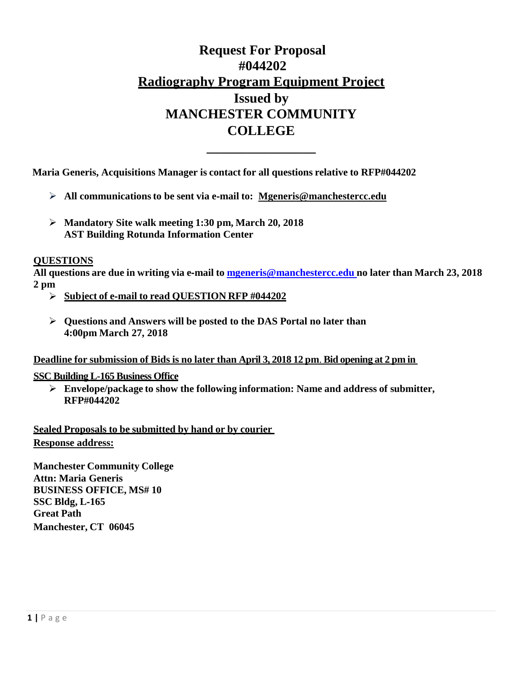# **Request For Proposal #044202 Radiography Program Equipment Project Issued by MANCHESTER COMMUNITY COLLEGE**

**\_\_\_\_\_\_\_\_\_\_\_\_\_\_\_\_ Maria Generis, Acquisitions Manager is contact for all questions relative to RFP#044202**

- **All communicationsto be sent via e**‐**mail to: Mgeneris@manchestercc.edu**
- **Mandatory Site walk meeting 1:30 pm, March 20, 2018 AST Building Rotunda Information Center**

## **QUESTIONS**

**All questions are due in writing via e**‐**mail to [mgeneris@manchestercc.edu](mailto:mgeneris@manchestercc.edu) no later than March 23, 2018 2 pm**

- **Subject of e**‐**mail to read QUESTION RFP #044202**
- **Questions and Answers will be posted to the DAS Portal no later than 4:00pm March 27, 2018**

**Deadline for submission of Bids is no later than April 3, 2018 12 pm**. **Bid opening at 2 pm in** 

### **SSC Building L-165 Business Office**

 **Envelope/package to show the following information: Name and address of submitter, RFP#044202**

**Sealed Proposals to be submitted by hand or by courier Response address:**

**Manchester Community College Attn: Maria Generis BUSINESS OFFICE, MS# 10 SSC Bldg, L**‐**165 Great Path Manchester, CT 06045**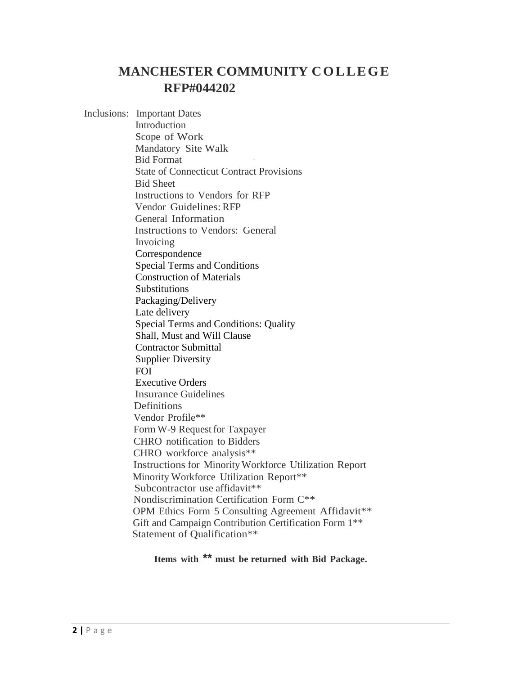# **MANCHESTER COMMUNITY COLLEGE RFP#044202**

Inclusions: Important Dates Introduction Scope of Work Mandatory Site Walk **Bid Format** State of Connecticut Contract Provisions Bid Sheet Instructions to Vendors for RFP Vendor Guidelines: RFP General Information Instructions to Vendors: General Invoicing Correspondence Special Terms and Conditions Construction of Materials **Substitutions** Packaging/Delivery Late delivery Special Terms and Conditions: Quality Shall, Must and Will Clause Contractor Submittal Supplier Diversity FOI Executive Orders Insurance Guidelines **Definitions** Vendor Profile\*\* Form W-9 Request for Taxpayer CHRO notification to Bidders CHRO workforce analysis\*\* Instructions for MinorityWorkforce Utilization Report Minority Workforce Utilization Report\*\* Subcontractor use affidavit<sup>\*\*</sup> Nondiscrimination Certification Form C\*\* OPM Ethics Form 5 Consulting Agreement Affidavit\*\* Gift and Campaign Contribution Certification Form 1\*\* Statement of Qualification\*\*

**Items with \*\* must be returned with Bid Package.**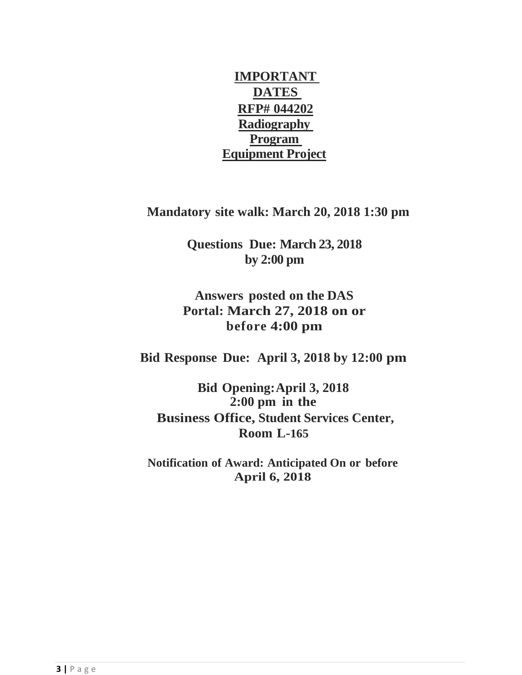**IMPORTANT DATES RFP# 044202 Radiography Program Equipment Project**

**Mandatory site walk: March 20, 2018 1:30 pm**

**Questions Due: March 23, 2018 by 2:00 pm**

**Answers posted on the DAS Portal: March 27, 2018 on or before 4:00 pm**

**Bid Response Due: April 3, 2018 by 12:00 pm**

**Bid Opening:April 3, 2018 2:00 pm in the Business Office, Student Services Center, Room L-165**

**Notification of Award: Anticipated On or before April 6, 2018**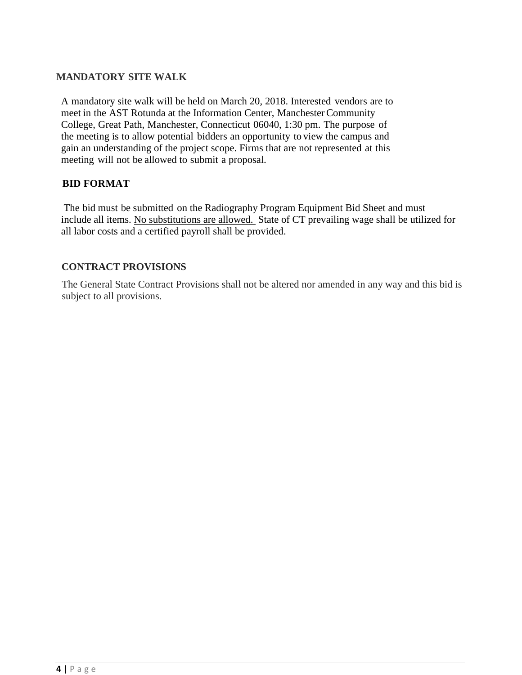## **MANDATORY SITE WALK**

A mandatory site walk will be held on March 20, 2018. Interested vendors are to meet in the AST Rotunda at the Information Center, ManchesterCommunity College, Great Path, Manchester, Connecticut 06040, 1:30 pm. The purpose of the meeting is to allow potential bidders an opportunity to view the campus and gain an understanding of the project scope. Firms that are not represented at this meeting will not be allowed to submit a proposal.

## **BID FORMAT**

The bid must be submitted on the Radiography Program Equipment Bid Sheet and must include all items. No substitutions are allowed. State of CT prevailing wage shall be utilized for all labor costs and a certified payroll shall be provided.

## **CONTRACT PROVISIONS**

The General State Contract Provisions shall not be altered nor amended in any way and this bid is subject to all provisions.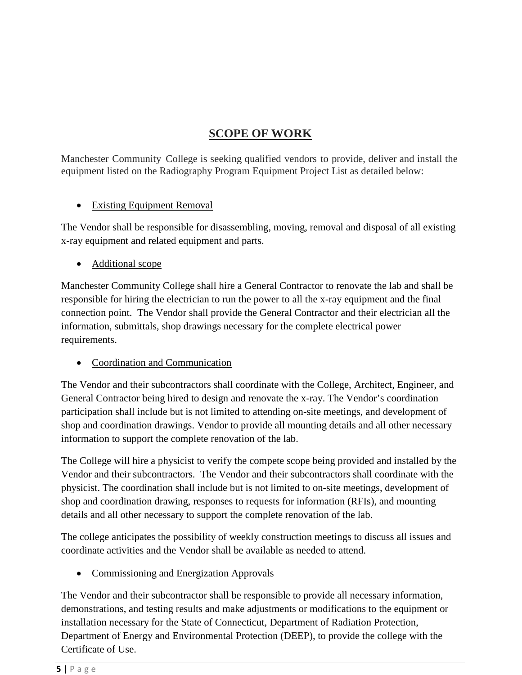# **SCOPE OF WORK**

Manchester Community College is seeking qualified vendors to provide, deliver and install the equipment listed on the Radiography Program Equipment Project List as detailed below:

# • Existing Equipment Removal

The Vendor shall be responsible for disassembling, moving, removal and disposal of all existing x-ray equipment and related equipment and parts.

• Additional scope

Manchester Community College shall hire a General Contractor to renovate the lab and shall be responsible for hiring the electrician to run the power to all the x-ray equipment and the final connection point. The Vendor shall provide the General Contractor and their electrician all the information, submittals, shop drawings necessary for the complete electrical power requirements.

• Coordination and Communication

The Vendor and their subcontractors shall coordinate with the College, Architect, Engineer, and General Contractor being hired to design and renovate the x-ray. The Vendor's coordination participation shall include but is not limited to attending on-site meetings, and development of shop and coordination drawings. Vendor to provide all mounting details and all other necessary information to support the complete renovation of the lab.

The College will hire a physicist to verify the compete scope being provided and installed by the Vendor and their subcontractors. The Vendor and their subcontractors shall coordinate with the physicist. The coordination shall include but is not limited to on-site meetings, development of shop and coordination drawing, responses to requests for information (RFIs), and mounting details and all other necessary to support the complete renovation of the lab.

The college anticipates the possibility of weekly construction meetings to discuss all issues and coordinate activities and the Vendor shall be available as needed to attend.

• Commissioning and Energization Approvals

The Vendor and their subcontractor shall be responsible to provide all necessary information, demonstrations, and testing results and make adjustments or modifications to the equipment or installation necessary for the State of Connecticut, Department of Radiation Protection, Department of Energy and Environmental Protection (DEEP), to provide the college with the Certificate of Use.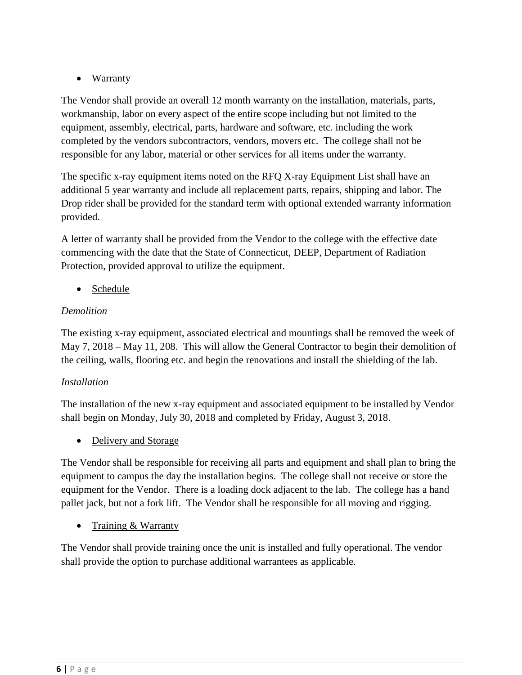# • Warranty

The Vendor shall provide an overall 12 month warranty on the installation, materials, parts, workmanship, labor on every aspect of the entire scope including but not limited to the equipment, assembly, electrical, parts, hardware and software, etc. including the work completed by the vendors subcontractors, vendors, movers etc. The college shall not be responsible for any labor, material or other services for all items under the warranty.

The specific x-ray equipment items noted on the RFQ X-ray Equipment List shall have an additional 5 year warranty and include all replacement parts, repairs, shipping and labor. The Drop rider shall be provided for the standard term with optional extended warranty information provided.

A letter of warranty shall be provided from the Vendor to the college with the effective date commencing with the date that the State of Connecticut, DEEP, Department of Radiation Protection, provided approval to utilize the equipment.

• Schedule

# *Demolition*

The existing x-ray equipment, associated electrical and mountings shall be removed the week of May 7, 2018 – May 11, 208. This will allow the General Contractor to begin their demolition of the ceiling, walls, flooring etc. and begin the renovations and install the shielding of the lab.

# *Installation*

The installation of the new x-ray equipment and associated equipment to be installed by Vendor shall begin on Monday, July 30, 2018 and completed by Friday, August 3, 2018.

• Delivery and Storage

The Vendor shall be responsible for receiving all parts and equipment and shall plan to bring the equipment to campus the day the installation begins. The college shall not receive or store the equipment for the Vendor. There is a loading dock adjacent to the lab. The college has a hand pallet jack, but not a fork lift. The Vendor shall be responsible for all moving and rigging.

• Training & Warranty

The Vendor shall provide training once the unit is installed and fully operational. The vendor shall provide the option to purchase additional warrantees as applicable.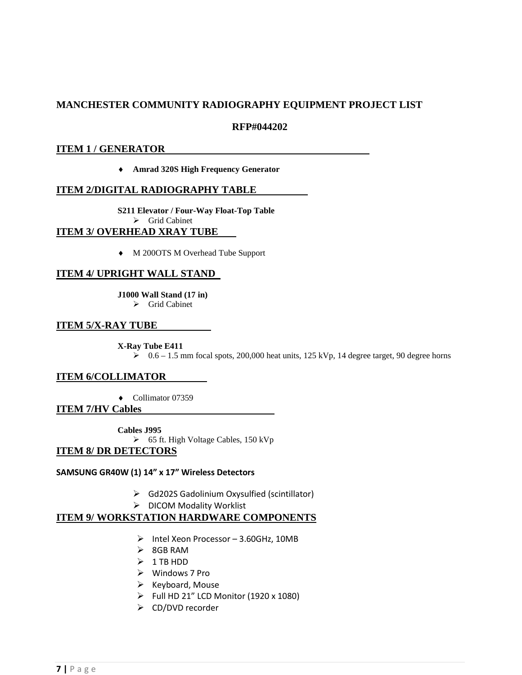## **MANCHESTER COMMUNITY RADIOGRAPHY EQUIPMENT PROJECT LIST**

#### **RFP#044202**

#### **ITEM 1 / GENERATOR**

♦ **Amrad 320S High Frequency Generator**

### **ITEM 2/DIGITAL RADIOGRAPHY TABLE**

**S211 Elevator / Four-Way Float-Top Table**  $\triangleright$  Grid Cabinet **ITEM 3/ OVERHEAD XRAY TUBE** 

♦ M 200OTS M Overhead Tube Support

### **ITEM 4/ UPRIGHT WALL STAND**

**J1000 Wall Stand (17 in)**

 $\triangleright$  Grid Cabinet

#### **ITEM 5/X-RAY TUBE**

**X-Ray Tube E411** 

 $\geq 0.6 - 1.5$  mm focal spots, 200,000 heat units, 125 kVp, 14 degree target, 90 degree horns

#### **ITEM 6/COLLIMATOR**

♦ Collimator 07359

**ITEM 7/HV Cables** 

**Cables J995**

65 ft. High Voltage Cables, 150 kVp

#### **ITEM 8/ DR DETECTORS**

#### **SAMSUNG GR40W (1) 14" x 17" Wireless Detectors**

- $\triangleright$  Gd202S Gadolinium Oxysulfied (scintillator)
- > DICOM Modality Worklist

#### **ITEM 9/ WORKSTATION HARDWARE COMPONENTS**

- $\triangleright$  Intel Xeon Processor 3.60GHz, 10MB
- $\geq$  8GB RAM
- $\geq 1$  TB HDD
- Windows 7 Pro
- $\triangleright$  Keyboard, Mouse
- $\triangleright$  Full HD 21" LCD Monitor (1920 x 1080)
- CD/DVD recorder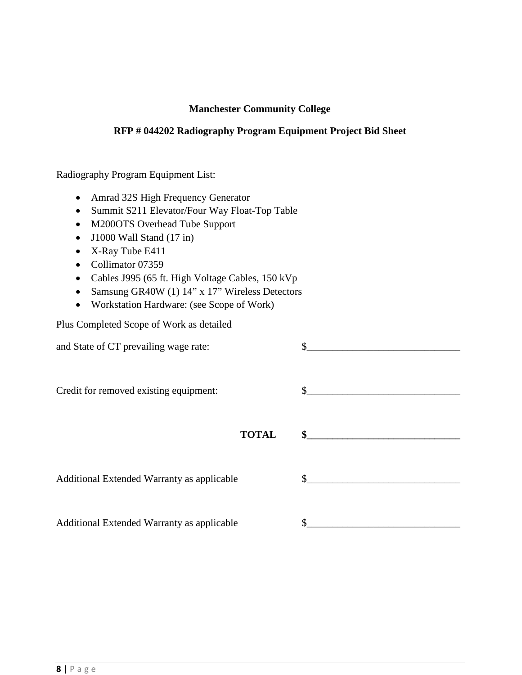## **Manchester Community College**

## **RFP # 044202 Radiography Program Equipment Project Bid Sheet**

Radiography Program Equipment List:

- Amrad 32S High Frequency Generator
- Summit S211 Elevator/Four Way Float-Top Table
- M200OTS Overhead Tube Support
- J1000 Wall Stand (17 in)
- X-Ray Tube E411
- Collimator 07359
- Cables J995 (65 ft. High Voltage Cables, 150 kVp
- Samsung GR40W (1) 14" x 17" Wireless Detectors
- Workstation Hardware: (see Scope of Work)

Plus Completed Scope of Work as detailed

| and State of CT prevailing wage rate:      | \$     |
|--------------------------------------------|--------|
| Credit for removed existing equipment:     | $\sim$ |
| <b>TOTAL</b>                               |        |
| Additional Extended Warranty as applicable | \$     |
| Additional Extended Warranty as applicable |        |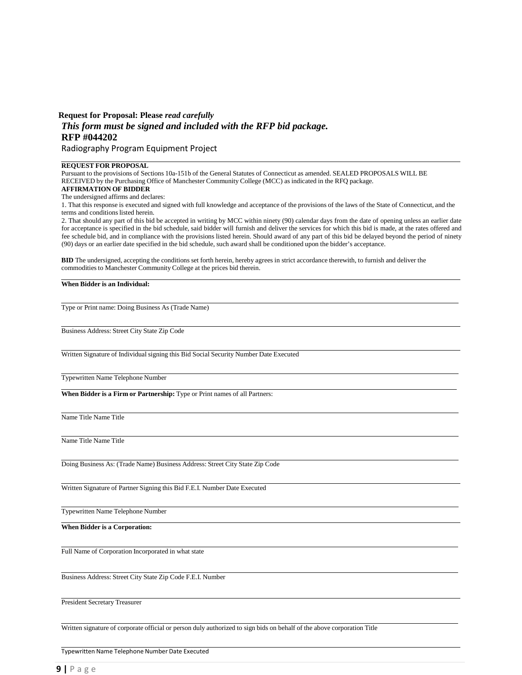## **Request for Proposal: Please** *read carefully This form must be signed and included with the RFP bid package.* **RFP #044202**

Radiography Program Equipment Project

#### **REQUEST FOR PROPOSAL**

Pursuant to the provisions of Sections 10a-151b of the General Statutes of Connecticut as amended. SEALED PROPOSALS WILL BE RECEIVED by the Purchasing Office of Manchester Community College (MCC) asindicated in the RFQ package. **AFFIRMATION OF BIDDER**

The undersigned affirms and declares:

1. That this response is executed and signed with full knowledge and acceptance of the provisions of the laws of the State of Connecticut, and the terms and conditions listed herein.

2. That should any part of this bid be accepted in writing by MCC within ninety (90) calendar days from the date of opening unless an earlier date for acceptance is specified in the bid schedule, said bidder will furnish and deliver the services for which this bid is made, at the rates offered and fee schedule bid, and in compliance with the provisions listed herein. Should award of any part of this bid be delayed beyond the period of ninety (90) days or an earlier date specified in the bid schedule, such award shall be conditioned upon the bidder's acceptance.

**BID** The undersigned, accepting the conditions set forth herein, hereby agrees in strict accordance therewith, to furnish and deliver the commodities to Manchester Community College at the prices bid therein.

#### **When Bidder is an Individual:**

Type or Print name: Doing Business As (Trade Name)

Business Address: Street City State Zip Code

Written Signature of Individual signing this Bid Social Security Number Date Executed

Typewritten Name Telephone Number

**When Bidder is a Firm or Partnership:** Type or Print names of all Partners:

Name Title Name Title

Name Title Name Title

Doing Business As: (Trade Name) Business Address: Street City State Zip Code

Written Signature of Partner Signing this Bid F.E.I. Number Date Executed

Typewritten Name Telephone Number

**When Bidder is a Corporation:**

Full Name of Corporation Incorporated in what state

Business Address: Street City State Zip Code F.E.I. Number

President Secretary Treasurer

Written signature of corporate official or person duly authorized to sign bids on behalf of the above corporation Title

Typewritten Name Telephone Number Date Executed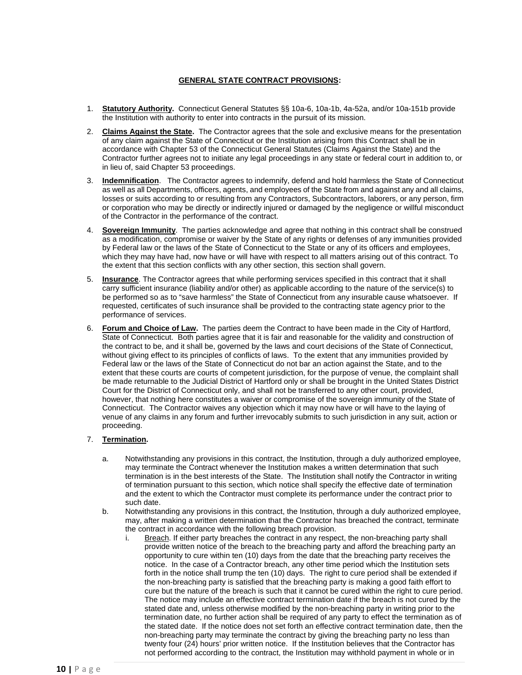#### **GENERAL STATE CONTRACT PROVISIONS:**

- 1. **Statutory Authority.** Connecticut General Statutes §§ 10a-6, 10a-1b, 4a-52a, and/or 10a-151b provide the Institution with authority to enter into contracts in the pursuit of its mission.
- 2. **Claims Against the State.** The Contractor agrees that the sole and exclusive means for the presentation of any claim against the State of Connecticut or the Institution arising from this Contract shall be in accordance with Chapter 53 of the Connecticut General Statutes (Claims Against the State) and the Contractor further agrees not to initiate any legal proceedings in any state or federal court in addition to, or in lieu of, said Chapter 53 proceedings.
- 3. **Indemnification**. The Contractor agrees to indemnify, defend and hold harmless the State of Connecticut as well as all Departments, officers, agents, and employees of the State from and against any and all claims, losses or suits according to or resulting from any Contractors, Subcontractors, laborers, or any person, firm or corporation who may be directly or indirectly injured or damaged by the negligence or willful misconduct of the Contractor in the performance of the contract.
- 4. **Sovereign Immunity**. The parties acknowledge and agree that nothing in this contract shall be construed as a modification, compromise or waiver by the State of any rights or defenses of any immunities provided by Federal law or the laws of the State of Connecticut to the State or any of its officers and employees, which they may have had, now have or will have with respect to all matters arising out of this contract. To the extent that this section conflicts with any other section, this section shall govern.
- 5. **Insurance**. The Contractor agrees that while performing services specified in this contract that it shall carry sufficient insurance (liability and/or other) as applicable according to the nature of the service(s) to be performed so as to "save harmless" the State of Connecticut from any insurable cause whatsoever. If requested, certificates of such insurance shall be provided to the contracting state agency prior to the performance of services.
- 6. **Forum and Choice of Law.** The parties deem the Contract to have been made in the City of Hartford, State of Connecticut. Both parties agree that it is fair and reasonable for the validity and construction of the contract to be, and it shall be, governed by the laws and court decisions of the State of Connecticut, without giving effect to its principles of conflicts of laws. To the extent that any immunities provided by Federal law or the laws of the State of Connecticut do not bar an action against the State, and to the extent that these courts are courts of competent jurisdiction, for the purpose of venue, the complaint shall be made returnable to the Judicial District of Hartford only or shall be brought in the United States District Court for the District of Connecticut only, and shall not be transferred to any other court, provided, however, that nothing here constitutes a waiver or compromise of the sovereign immunity of the State of Connecticut. The Contractor waives any objection which it may now have or will have to the laying of venue of any claims in any forum and further irrevocably submits to such jurisdiction in any suit, action or proceeding.

#### 7. **Termination.**

- a. Notwithstanding any provisions in this contract, the Institution, through a duly authorized employee, may terminate the Contract whenever the Institution makes a written determination that such termination is in the best interests of the State. The Institution shall notify the Contractor in writing of termination pursuant to this section, which notice shall specify the effective date of termination and the extent to which the Contractor must complete its performance under the contract prior to such date.
- b. Notwithstanding any provisions in this contract, the Institution, through a duly authorized employee, may, after making a written determination that the Contractor has breached the contract, terminate the contract in accordance with the following breach provision.
	- i. Breach. If either party breaches the contract in any respect, the non-breaching party shall provide written notice of the breach to the breaching party and afford the breaching party an opportunity to cure within ten (10) days from the date that the breaching party receives the notice. In the case of a Contractor breach, any other time period which the Institution sets forth in the notice shall trump the ten (10) days. The right to cure period shall be extended if the non-breaching party is satisfied that the breaching party is making a good faith effort to cure but the nature of the breach is such that it cannot be cured within the right to cure period. The notice may include an effective contract termination date if the breach is not cured by the stated date and, unless otherwise modified by the non-breaching party in writing prior to the termination date, no further action shall be required of any party to effect the termination as of the stated date. If the notice does not set forth an effective contract termination date, then the non-breaching party may terminate the contract by giving the breaching party no less than twenty four (24) hours' prior written notice. If the Institution believes that the Contractor has not performed according to the contract, the Institution may withhold payment in whole or in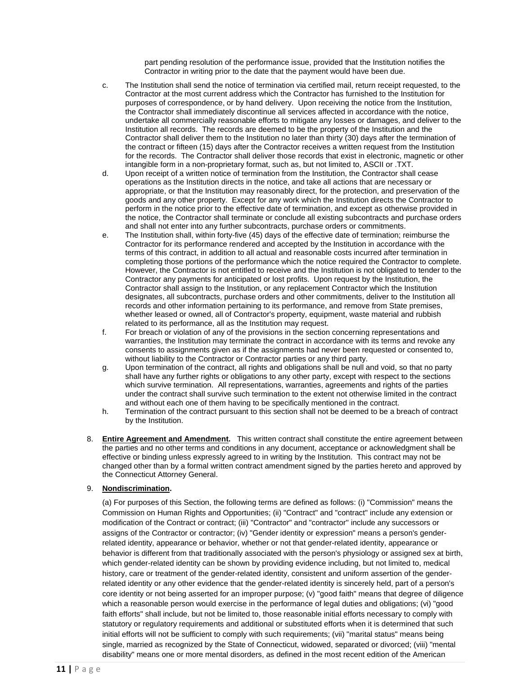part pending resolution of the performance issue, provided that the Institution notifies the Contractor in writing prior to the date that the payment would have been due.

- c. The Institution shall send the notice of termination via certified mail, return receipt requested, to the Contractor at the most current address which the Contractor has furnished to the Institution for purposes of correspondence, or by hand delivery. Upon receiving the notice from the Institution, the Contractor shall immediately discontinue all services affected in accordance with the notice, undertake all commercially reasonable efforts to mitigate any losses or damages, and deliver to the Institution all records. The records are deemed to be the property of the Institution and the Contractor shall deliver them to the Institution no later than thirty (30) days after the termination of the contract or fifteen (15) days after the Contractor receives a written request from the Institution for the records. The Contractor shall deliver those records that exist in electronic, magnetic or other intangible form in a non-proprietary format, such as, but not limited to, ASCII or .TXT.
- d. Upon receipt of a written notice of termination from the Institution, the Contractor shall cease operations as the Institution directs in the notice, and take all actions that are necessary or appropriate, or that the Institution may reasonably direct, for the protection, and preservation of the goods and any other property. Except for any work which the Institution directs the Contractor to perform in the notice prior to the effective date of termination, and except as otherwise provided in the notice, the Contractor shall terminate or conclude all existing subcontracts and purchase orders and shall not enter into any further subcontracts, purchase orders or commitments.
- e. The Institution shall, within forty-five (45) days of the effective date of termination; reimburse the Contractor for its performance rendered and accepted by the Institution in accordance with the terms of this contract, in addition to all actual and reasonable costs incurred after termination in completing those portions of the performance which the notice required the Contractor to complete. However, the Contractor is not entitled to receive and the Institution is not obligated to tender to the Contractor any payments for anticipated or lost profits. Upon request by the Institution, the Contractor shall assign to the Institution, or any replacement Contractor which the Institution designates, all subcontracts, purchase orders and other commitments, deliver to the Institution all records and other information pertaining to its performance, and remove from State premises, whether leased or owned, all of Contractor's property, equipment, waste material and rubbish related to its performance, all as the Institution may request.
- f. For breach or violation of any of the provisions in the section concerning representations and warranties, the Institution may terminate the contract in accordance with its terms and revoke any consents to assignments given as if the assignments had never been requested or consented to, without liability to the Contractor or Contractor parties or any third party.
- g. Upon termination of the contract, all rights and obligations shall be null and void, so that no party shall have any further rights or obligations to any other party, except with respect to the sections which survive termination. All representations, warranties, agreements and rights of the parties under the contract shall survive such termination to the extent not otherwise limited in the contract and without each one of them having to be specifically mentioned in the contract.
- h. Termination of the contract pursuant to this section shall not be deemed to be a breach of contract by the Institution.
- 8. **Entire Agreement and Amendment.** This written contract shall constitute the entire agreement between the parties and no other terms and conditions in any document, acceptance or acknowledgment shall be effective or binding unless expressly agreed to in writing by the Institution. This contract may not be changed other than by a formal written contract amendment signed by the parties hereto and approved by the Connecticut Attorney General.

#### 9. **Nondiscrimination.**

(a) For purposes of this Section, the following terms are defined as follows: (i) "Commission" means the Commission on Human Rights and Opportunities; (ii) "Contract" and "contract" include any extension or modification of the Contract or contract; (iii) "Contractor" and "contractor'' include any successors or assigns of the Contractor or contractor; (iv) "Gender identity or expression" means a person's genderrelated identity, appearance or behavior, whether or not that gender-related identity, appearance or behavior is different from that traditionally associated with the person's physiology or assigned sex at birth, which gender-related identity can be shown by providing evidence including, but not limited to, medical history, care or treatment of the gender-related identity, consistent and uniform assertion of the genderrelated identity or any other evidence that the gender-related identity is sincerely held, part of a person's core identity or not being asserted for an improper purpose; (v) "good faith" means that degree of diligence which a reasonable person would exercise in the performance of legal duties and obligations; (vi) "good faith efforts" shall include, but not be limited to, those reasonable initial efforts necessary to comply with statutory or regulatory requirements and additional or substituted efforts when it is determined that such initial efforts will not be sufficient to comply with such requirements; (vii) "marital status" means being single, married as recognized by the State of Connecticut, widowed, separated or divorced; (viii) "mental disability" means one or more mental disorders, as defined in the most recent edition of the American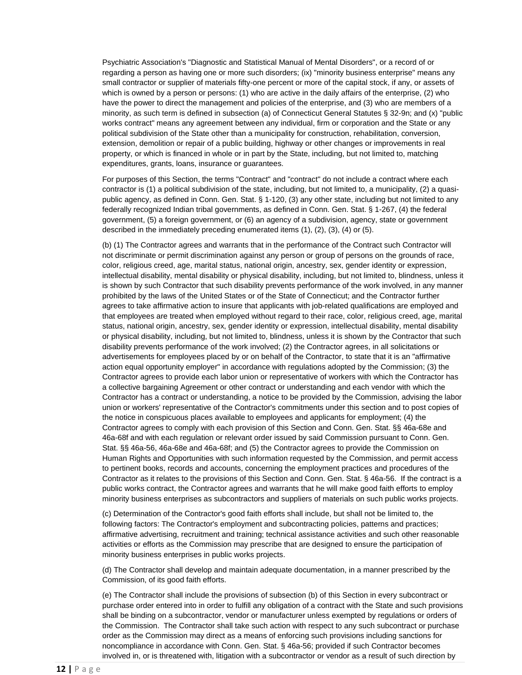Psychiatric Association's "Diagnostic and Statistical Manual of Mental Disorders", or a record of or regarding a person as having one or more such disorders; (ix) "minority business enterprise" means any small contractor or supplier of materials fifty-one percent or more of the capital stock, if any, or assets of which is owned by a person or persons: (1) who are active in the daily affairs of the enterprise, (2) who have the power to direct the management and policies of the enterprise, and (3) who are members of a minority, as such term is defined in subsection (a) of Connecticut General Statutes § 32-9n; and (x) "public works contract" means any agreement between any individual, firm or corporation and the State or any political subdivision of the State other than a municipality for construction, rehabilitation, conversion, extension, demolition or repair of a public building, highway or other changes or improvements in real property, or which is financed in whole or in part by the State, including, but not limited to, matching expenditures, grants, loans, insurance or guarantees.

For purposes of this Section, the terms "Contract" and "contract" do not include a contract where each contractor is (1) a political subdivision of the state, including, but not limited to, a municipality, (2) a quasipublic agency, as defined in Conn. Gen. Stat. § 1-120, (3) any other state, including but not limited to any federally recognized Indian tribal governments, as defined in Conn. Gen. Stat. § 1-267, (4) the federal government, (5) a foreign government, or (6) an agency of a subdivision, agency, state or government described in the immediately preceding enumerated items (1), (2), (3), (4) or (5).

(b) (1) The Contractor agrees and warrants that in the performance of the Contract such Contractor will not discriminate or permit discrimination against any person or group of persons on the grounds of race, color, religious creed, age, marital status, national origin, ancestry, sex, gender identity or expression, intellectual disability, mental disability or physical disability, including, but not limited to, blindness, unless it is shown by such Contractor that such disability prevents performance of the work involved, in any manner prohibited by the laws of the United States or of the State of Connecticut; and the Contractor further agrees to take affirmative action to insure that applicants with job-related qualifications are employed and that employees are treated when employed without regard to their race, color, religious creed, age, marital status, national origin, ancestry, sex, gender identity or expression, intellectual disability, mental disability or physical disability, including, but not limited to, blindness, unless it is shown by the Contractor that such disability prevents performance of the work involved; (2) the Contractor agrees, in all solicitations or advertisements for employees placed by or on behalf of the Contractor, to state that it is an "affirmative action equal opportunity employer" in accordance with regulations adopted by the Commission; (3) the Contractor agrees to provide each labor union or representative of workers with which the Contractor has a collective bargaining Agreement or other contract or understanding and each vendor with which the Contractor has a contract or understanding, a notice to be provided by the Commission, advising the labor union or workers' representative of the Contractor's commitments under this section and to post copies of the notice in conspicuous places available to employees and applicants for employment; (4) the Contractor agrees to comply with each provision of this Section and Conn. Gen. Stat. §§ 46a-68e and 46a-68f and with each regulation or relevant order issued by said Commission pursuant to Conn. Gen. Stat. §§ 46a-56, 46a-68e and 46a-68f; and (5) the Contractor agrees to provide the Commission on Human Rights and Opportunities with such information requested by the Commission, and permit access to pertinent books, records and accounts, concerning the employment practices and procedures of the Contractor as it relates to the provisions of this Section and Conn. Gen. Stat. § 46a-56. If the contract is a public works contract, the Contractor agrees and warrants that he will make good faith efforts to employ minority business enterprises as subcontractors and suppliers of materials on such public works projects.

(c) Determination of the Contractor's good faith efforts shall include, but shall not be limited to, the following factors: The Contractor's employment and subcontracting policies, patterns and practices; affirmative advertising, recruitment and training; technical assistance activities and such other reasonable activities or efforts as the Commission may prescribe that are designed to ensure the participation of minority business enterprises in public works projects.

(d) The Contractor shall develop and maintain adequate documentation, in a manner prescribed by the Commission, of its good faith efforts.

(e) The Contractor shall include the provisions of subsection (b) of this Section in every subcontract or purchase order entered into in order to fulfill any obligation of a contract with the State and such provisions shall be binding on a subcontractor, vendor or manufacturer unless exempted by regulations or orders of the Commission. The Contractor shall take such action with respect to any such subcontract or purchase order as the Commission may direct as a means of enforcing such provisions including sanctions for noncompliance in accordance with Conn. Gen. Stat. § 46a-56; provided if such Contractor becomes involved in, or is threatened with, litigation with a subcontractor or vendor as a result of such direction by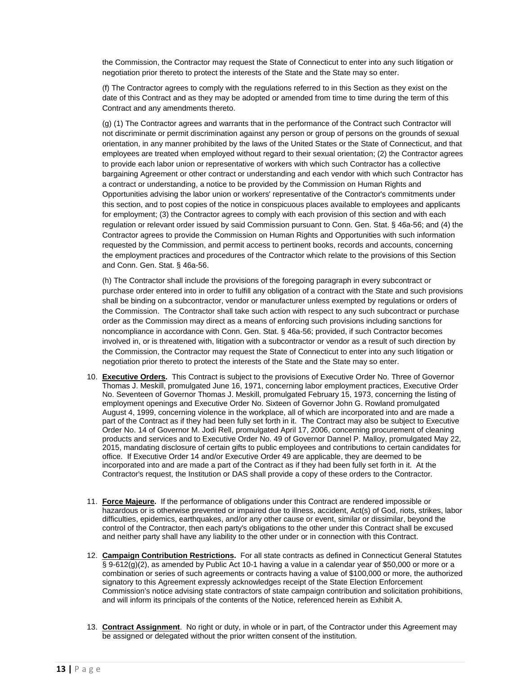the Commission, the Contractor may request the State of Connecticut to enter into any such litigation or negotiation prior thereto to protect the interests of the State and the State may so enter.

(f) The Contractor agrees to comply with the regulations referred to in this Section as they exist on the date of this Contract and as they may be adopted or amended from time to time during the term of this Contract and any amendments thereto.

(g) (1) The Contractor agrees and warrants that in the performance of the Contract such Contractor will not discriminate or permit discrimination against any person or group of persons on the grounds of sexual orientation, in any manner prohibited by the laws of the United States or the State of Connecticut, and that employees are treated when employed without regard to their sexual orientation; (2) the Contractor agrees to provide each labor union or representative of workers with which such Contractor has a collective bargaining Agreement or other contract or understanding and each vendor with which such Contractor has a contract or understanding, a notice to be provided by the Commission on Human Rights and Opportunities advising the labor union or workers' representative of the Contractor's commitments under this section, and to post copies of the notice in conspicuous places available to employees and applicants for employment; (3) the Contractor agrees to comply with each provision of this section and with each regulation or relevant order issued by said Commission pursuant to Conn. Gen. Stat. § 46a-56; and (4) the Contractor agrees to provide the Commission on Human Rights and Opportunities with such information requested by the Commission, and permit access to pertinent books, records and accounts, concerning the employment practices and procedures of the Contractor which relate to the provisions of this Section and Conn. Gen. Stat. § 46a-56.

(h) The Contractor shall include the provisions of the foregoing paragraph in every subcontract or purchase order entered into in order to fulfill any obligation of a contract with the State and such provisions shall be binding on a subcontractor, vendor or manufacturer unless exempted by regulations or orders of the Commission. The Contractor shall take such action with respect to any such subcontract or purchase order as the Commission may direct as a means of enforcing such provisions including sanctions for noncompliance in accordance with Conn. Gen. Stat. § 46a-56; provided, if such Contractor becomes involved in, or is threatened with, litigation with a subcontractor or vendor as a result of such direction by the Commission, the Contractor may request the State of Connecticut to enter into any such litigation or negotiation prior thereto to protect the interests of the State and the State may so enter.

- 10. **Executive Orders.** This Contract is subject to the provisions of Executive Order No. Three of Governor Thomas J. Meskill, promulgated June 16, 1971, concerning labor employment practices, Executive Order No. Seventeen of Governor Thomas J. Meskill, promulgated February 15, 1973, concerning the listing of employment openings and Executive Order No. Sixteen of Governor John G. Rowland promulgated August 4, 1999, concerning violence in the workplace, all of which are incorporated into and are made a part of the Contract as if they had been fully set forth in it. The Contract may also be subject to Executive Order No. 14 of Governor M. Jodi Rell, promulgated April 17, 2006, concerning procurement of cleaning products and services and to Executive Order No. 49 of Governor Dannel P. Malloy, promulgated May 22, 2015, mandating disclosure of certain gifts to public employees and contributions to certain candidates for office. If Executive Order 14 and/or Executive Order 49 are applicable, they are deemed to be incorporated into and are made a part of the Contract as if they had been fully set forth in it. At the Contractor's request, the Institution or DAS shall provide a copy of these orders to the Contractor.
- 11. **Force Majeure.** If the performance of obligations under this Contract are rendered impossible or hazardous or is otherwise prevented or impaired due to illness, accident, Act(s) of God, riots, strikes, labor difficulties, epidemics, earthquakes, and/or any other cause or event, similar or dissimilar, beyond the control of the Contractor, then each party's obligations to the other under this Contract shall be excused and neither party shall have any liability to the other under or in connection with this Contract.
- 12. **Campaign Contribution Restrictions.** For all state contracts as defined in Connecticut General Statutes § 9-612(g)(2), as amended by Public Act 10-1 having a value in a calendar year of \$50,000 or more or a combination or series of such agreements or contracts having a value of \$100,000 or more, the authorized signatory to this Agreement expressly acknowledges receipt of the State Election Enforcement Commission's notice advising state contractors of state campaign contribution and solicitation prohibitions, and will inform its principals of the contents of the Notice, referenced herein as Exhibit A.
- 13. **Contract Assignment**. No right or duty, in whole or in part, of the Contractor under this Agreement may be assigned or delegated without the prior written consent of the institution.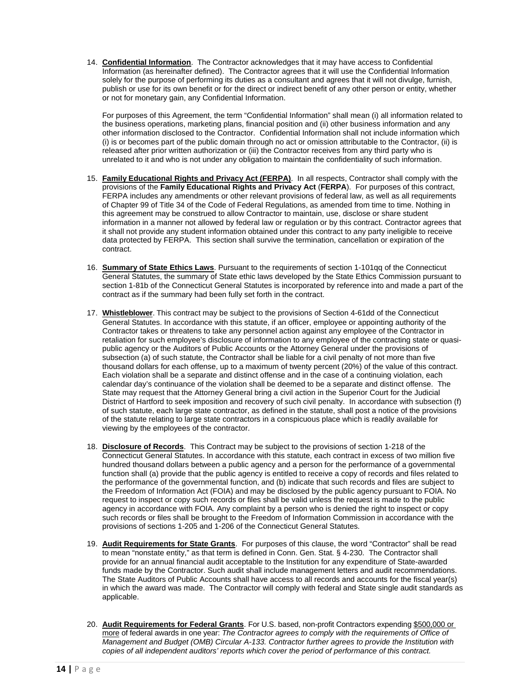14. **Confidential Information**. The Contractor acknowledges that it may have access to Confidential Information (as hereinafter defined). The Contractor agrees that it will use the Confidential Information solely for the purpose of performing its duties as a consultant and agrees that it will not divulge, furnish, publish or use for its own benefit or for the direct or indirect benefit of any other person or entity, whether or not for monetary gain, any Confidential Information.

For purposes of this Agreement, the term "Confidential Information" shall mean (i) all information related to the business operations, marketing plans, financial position and (ii) other business information and any other information disclosed to the Contractor. Confidential Information shall not include information which (i) is or becomes part of the public domain through no act or omission attributable to the Contractor, (ii) is released after prior written authorization or (iii) the Contractor receives from any third party who is unrelated to it and who is not under any obligation to maintain the confidentiality of such information.

- 15. **Family Educational Rights and Privacy Act (FERPA)**. In all respects, Contractor shall comply with the provisions of the **Family Educational Rights and Privacy Act** (**FERPA**). For purposes of this contract, FERPA includes any amendments or other relevant provisions of federal law, as well as all requirements of Chapter 99 of Title 34 of the Code of Federal Regulations, as amended from time to time. Nothing in this agreement may be construed to allow Contractor to maintain, use, disclose or share student information in a manner not allowed by federal law or regulation or by this contract. Contractor agrees that it shall not provide any student information obtained under this contract to any party ineligible to receive data protected by FERPA. This section shall survive the termination, cancellation or expiration of the contract.
- 16. **Summary of State Ethics Laws**. Pursuant to the requirements of section 1-101qq of the Connecticut General Statutes, the summary of State ethic laws developed by the State Ethics Commission pursuant to section 1-81b of the Connecticut General Statutes is incorporated by reference into and made a part of the contract as if the summary had been fully set forth in the contract.
- 17. **Whistleblower**. This contract may be subject to the provisions of Section 4-61dd of the Connecticut General Statutes. In accordance with this statute, if an officer, employee or appointing authority of the Contractor takes or threatens to take any personnel action against any employee of the Contractor in retaliation for such employee's disclosure of information to any employee of the contracting state or quasipublic agency or the Auditors of Public Accounts or the Attorney General under the provisions of subsection (a) of such statute, the Contractor shall be liable for a civil penalty of not more than five thousand dollars for each offense, up to a maximum of twenty percent (20%) of the value of this contract. Each violation shall be a separate and distinct offense and in the case of a continuing violation, each calendar day's continuance of the violation shall be deemed to be a separate and distinct offense. The State may request that the Attorney General bring a civil action in the Superior Court for the Judicial District of Hartford to seek imposition and recovery of such civil penalty. In accordance with subsection (f) of such statute, each large state contractor, as defined in the statute, shall post a notice of the provisions of the statute relating to large state contractors in a conspicuous place which is readily available for viewing by the employees of the contractor.
- 18. **Disclosure of Records**. This Contract may be subject to the provisions of section 1-218 of the Connecticut General Statutes. In accordance with this statute, each contract in excess of two million five hundred thousand dollars between a public agency and a person for the performance of a governmental function shall (a) provide that the public agency is entitled to receive a copy of records and files related to the performance of the governmental function, and (b) indicate that such records and files are subject to the Freedom of Information Act (FOIA) and may be disclosed by the public agency pursuant to FOIA. No request to inspect or copy such records or files shall be valid unless the request is made to the public agency in accordance with FOIA. Any complaint by a person who is denied the right to inspect or copy such records or files shall be brought to the Freedom of Information Commission in accordance with the provisions of sections 1-205 and 1-206 of the Connecticut General Statutes.
- 19. **Audit Requirements for State Grants**. For purposes of this clause, the word "Contractor" shall be read to mean "nonstate entity," as that term is defined in Conn. Gen. Stat. § 4-230. The Contractor shall provide for an annual financial audit acceptable to the Institution for any expenditure of State-awarded funds made by the Contractor. Such audit shall include management letters and audit recommendations. The State Auditors of Public Accounts shall have access to all records and accounts for the fiscal year(s) in which the award was made. The Contractor will comply with federal and State single audit standards as applicable.
- 20. **Audit Requirements for Federal Grants**. For U.S. based, non-profit Contractors expending \$500,000 or more of federal awards in one year: *The Contractor agrees to comply with the requirements of Office of Management and Budget (OMB) Circular A-133. Contractor further agrees to provide the Institution with copies of all independent auditors' reports which cover the period of performance of this contract.*